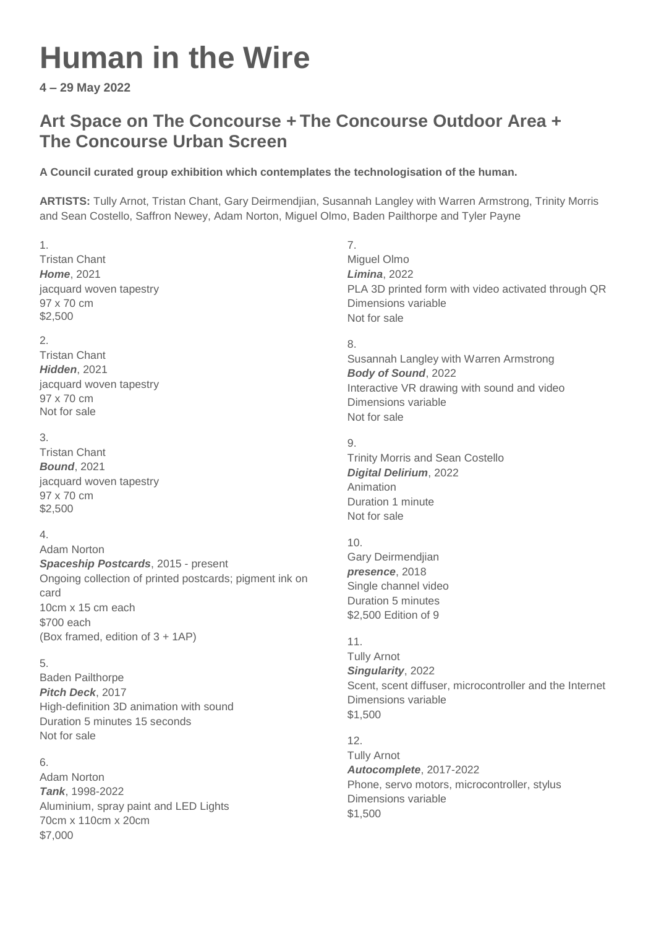# **Human in the Wire**

**4 – 29 May 2022**

# **Art Space on The Concourse + The Concourse Outdoor Area + The Concourse Urban Screen**

# **A Council curated group exhibition which contemplates the technologisation of the human.**

**ARTISTS:** Tully Arnot, Tristan Chant, Gary Deirmendjian, Susannah Langley with Warren Armstrong, Trinity Morris and Sean Costello, Saffron Newey, Adam Norton, Miguel Olmo, Baden Pailthorpe and Tyler Payne

## 1.

Tristan Chant *Home*, 2021 jacquard woven tapestry 97 x 70 cm \$2,500

# 2.

Tristan Chant *Hidden*, 2021 jacquard woven tapestry 97 x 70 cm Not for sale

## 3.

Tristan Chant *Bound*, 2021 jacquard woven tapestry 97 x 70 cm \$2,500

## 4.

Adam Norton *Spaceship Postcards*, 2015 - present Ongoing collection of printed postcards; pigment ink on card 10cm x 15 cm each \$700 each (Box framed, edition of 3 + 1AP)

## 5.

Baden Pailthorpe *Pitch Deck*, 2017 High-definition 3D animation with sound Duration 5 minutes 15 seconds Not for sale

## 6.

Adam Norton *Tank*, 1998-2022 Aluminium, spray paint and LED Lights 70cm x 110cm x 20cm \$7,000

7. Miguel Olmo *Limina*, 2022 PLA 3D printed form with video activated through QR Dimensions variable Not for sale

## 8.

Susannah Langley with Warren Armstrong *Body of Sound*, 2022 Interactive VR drawing with sound and video Dimensions variable Not for sale

## 9.

Trinity Morris and Sean Costello *Digital Delirium*, 2022 Animation Duration 1 minute Not for sale

## 10.

Gary Deirmendjian *presence*, 2018 Single channel video Duration 5 minutes \$2,500 Edition of 9

## 11.

Tully Arnot *Singularity*, 2022 Scent, scent diffuser, microcontroller and the Internet Dimensions variable \$1,500

# 12.

Tully Arnot *Autocomplete*, 2017-2022 Phone, servo motors, microcontroller, stylus Dimensions variable \$1,500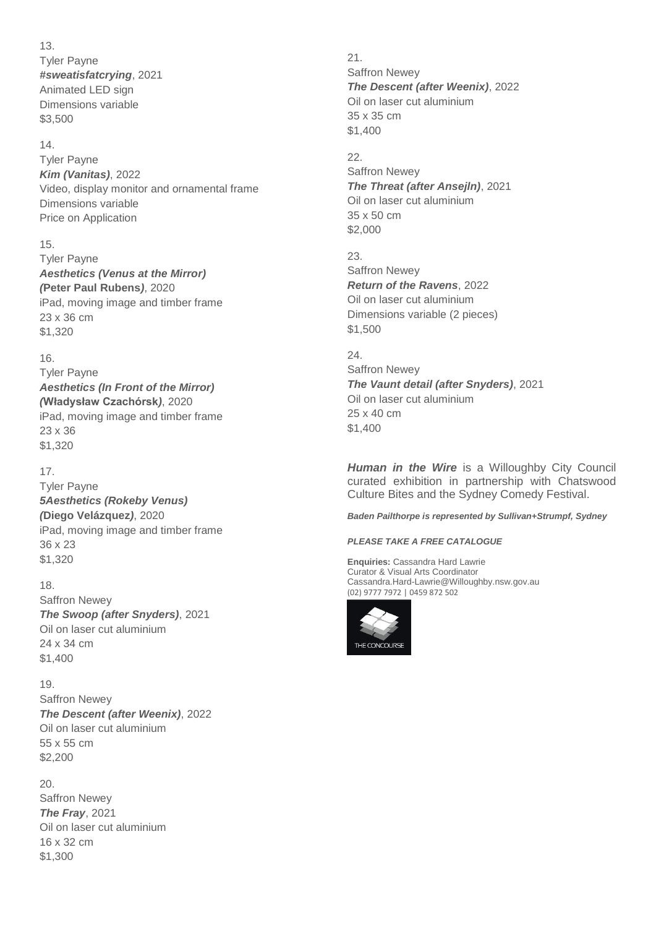13. Tyler Payne *#sweatisfatcrying*, 2021 Animated LED sign Dimensions variable \$3,500

#### 14.

Tyler Payne *Kim (Vanitas)*, 2022 Video, display monitor and ornamental frame Dimensions variable Price on Application

#### 15.

Tyler Payne *Aesthetics (Venus at the Mirror) (***Peter Paul Rubens***)*, 2020 iPad, moving image and timber frame 23 x 36 cm \$1,320

#### 16.

Tyler Payne *Aesthetics (In Front of the Mirror) (***Władysław Czachórsk***)*, 2020 iPad, moving image and timber frame 23 x 36 \$1,320

#### 17.

Tyler Payne *5Aesthetics (Rokeby Venus) (***Diego Velázquez***)*, 2020 iPad, moving image and timber frame 36 x 23 \$1,320

18.

Saffron Newey *The Swoop (after Snyders)*, 2021 Oil on laser cut aluminium 24 x 34 cm \$1,400

19. Saffron Newey *The Descent (after Weenix)*, 2022 Oil on laser cut aluminium 55 x 55 cm \$2,200

20. Saffron Newey *The Fray*, 2021 Oil on laser cut aluminium 16 x 32 cm \$1,300

21. Saffron Newey *The Descent (after Weenix)*, 2022 Oil on laser cut aluminium 35 x 35 cm \$1,400

22. Saffron Newey *The Threat (after Ansejln)*, 2021 Oil on laser cut aluminium 35 x 50 cm \$2,000

23. Saffron Newey *Return of the Ravens*, 2022 Oil on laser cut aluminium Dimensions variable (2 pieces) \$1,500

 $24.$ Saffron Newey *The Vaunt detail (after Snyders)*, 2021 Oil on laser cut aluminium 25 x 40 cm \$1,400

*Human in the Wire* is a Willoughby City Council curated exhibition in partnership with Chatswood Culture Bites and the Sydney Comedy Festival.

*Baden Pailthorpe is represented by Sullivan+Strumpf, Sydney*

#### *PLEASE TAKE A FREE CATALOGUE*

**Enquiries:** Cassandra Hard Lawrie Curator & Visual Arts Coordinator Cassandra.Hard-Lawrie@Willoughby.nsw.gov.au (02) 9777 7972 | 0459 872 502